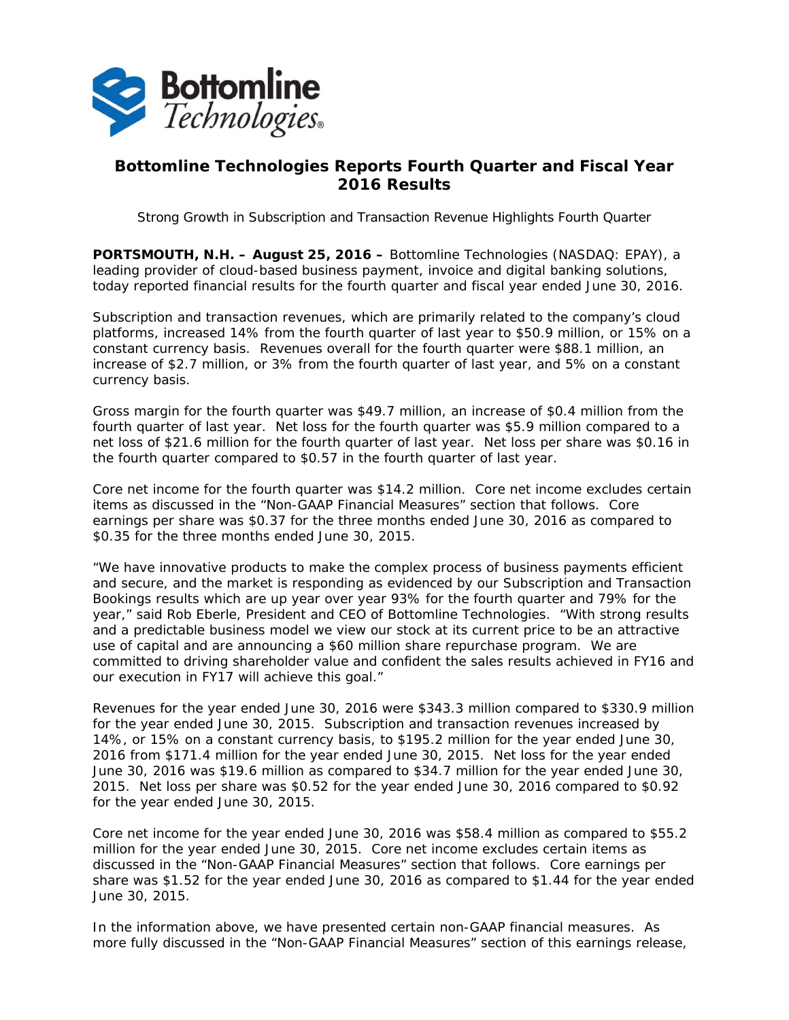

## **Bottomline Technologies Reports Fourth Quarter and Fiscal Year 2016 Results**

*Strong Growth in Subscription and Transaction Revenue Highlights Fourth Quarter* 

**PORTSMOUTH, N.H. – August 25, 2016 –** Bottomline Technologies (NASDAQ: EPAY), a leading provider of cloud-based business payment, invoice and digital banking solutions, today reported financial results for the fourth quarter and fiscal year ended June 30, 2016.

Subscription and transaction revenues, which are primarily related to the company's cloud platforms, increased 14% from the fourth quarter of last year to \$50.9 million, or 15% on a constant currency basis. Revenues overall for the fourth quarter were \$88.1 million, an increase of \$2.7 million, or 3% from the fourth quarter of last year, and 5% on a constant currency basis.

Gross margin for the fourth quarter was \$49.7 million, an increase of \$0.4 million from the fourth quarter of last year. Net loss for the fourth quarter was \$5.9 million compared to a net loss of \$21.6 million for the fourth quarter of last year. Net loss per share was \$0.16 in the fourth quarter compared to \$0.57 in the fourth quarter of last year.

Core net income for the fourth quarter was \$14.2 million. Core net income excludes certain items as discussed in the "Non-GAAP Financial Measures" section that follows. Core earnings per share was \$0.37 for the three months ended June 30, 2016 as compared to \$0.35 for the three months ended June 30, 2015.

"We have innovative products to make the complex process of business payments efficient and secure, and the market is responding as evidenced by our Subscription and Transaction Bookings results which are up year over year 93% for the fourth quarter and 79% for the year," said Rob Eberle, President and CEO of Bottomline Technologies. "With strong results and a predictable business model we view our stock at its current price to be an attractive use of capital and are announcing a \$60 million share repurchase program. We are committed to driving shareholder value and confident the sales results achieved in FY16 and our execution in FY17 will achieve this goal."

Revenues for the year ended June 30, 2016 were \$343.3 million compared to \$330.9 million for the year ended June 30, 2015. Subscription and transaction revenues increased by 14%, or 15% on a constant currency basis, to \$195.2 million for the year ended June 30, 2016 from \$171.4 million for the year ended June 30, 2015. Net loss for the year ended June 30, 2016 was \$19.6 million as compared to \$34.7 million for the year ended June 30, 2015. Net loss per share was \$0.52 for the year ended June 30, 2016 compared to \$0.92 for the year ended June 30, 2015.

Core net income for the year ended June 30, 2016 was \$58.4 million as compared to \$55.2 million for the year ended June 30, 2015. Core net income excludes certain items as discussed in the "Non-GAAP Financial Measures" section that follows. Core earnings per share was \$1.52 for the year ended June 30, 2016 as compared to \$1.44 for the year ended June 30, 2015.

In the information above, we have presented certain non-GAAP financial measures. As more fully discussed in the "Non-GAAP Financial Measures" section of this earnings release,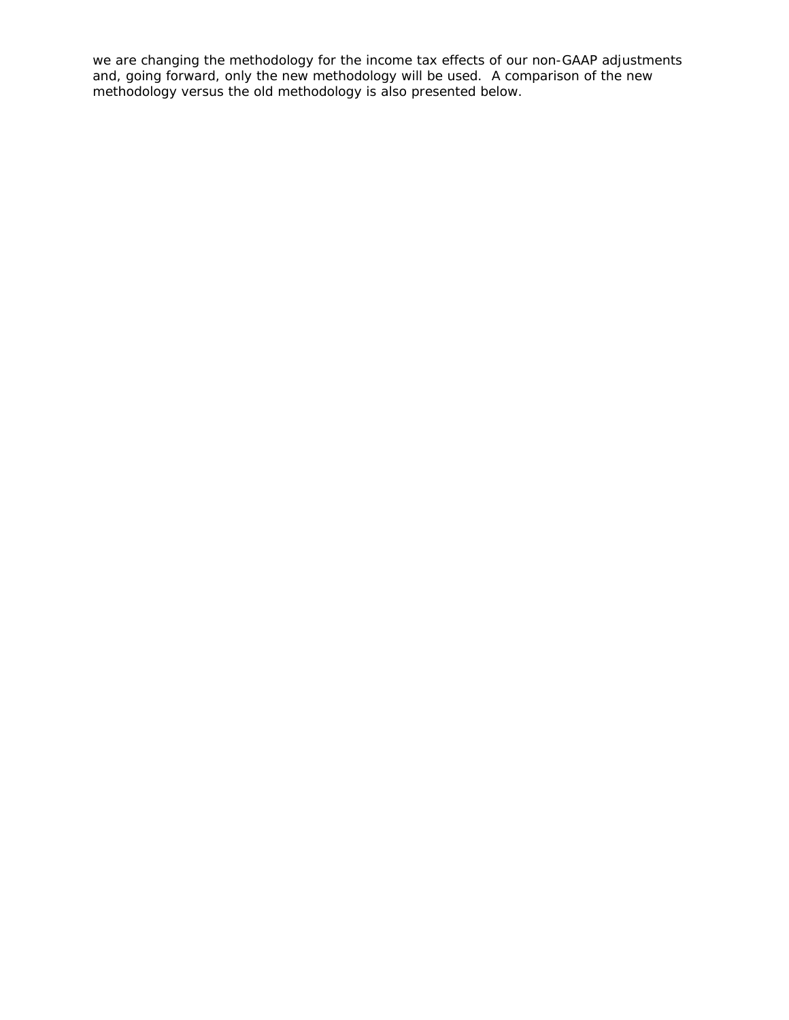we are changing the methodology for the income tax effects of our non-GAAP adjustments and, going forward, only the new methodology will be used. A comparison of the new methodology versus the old methodology is also presented below.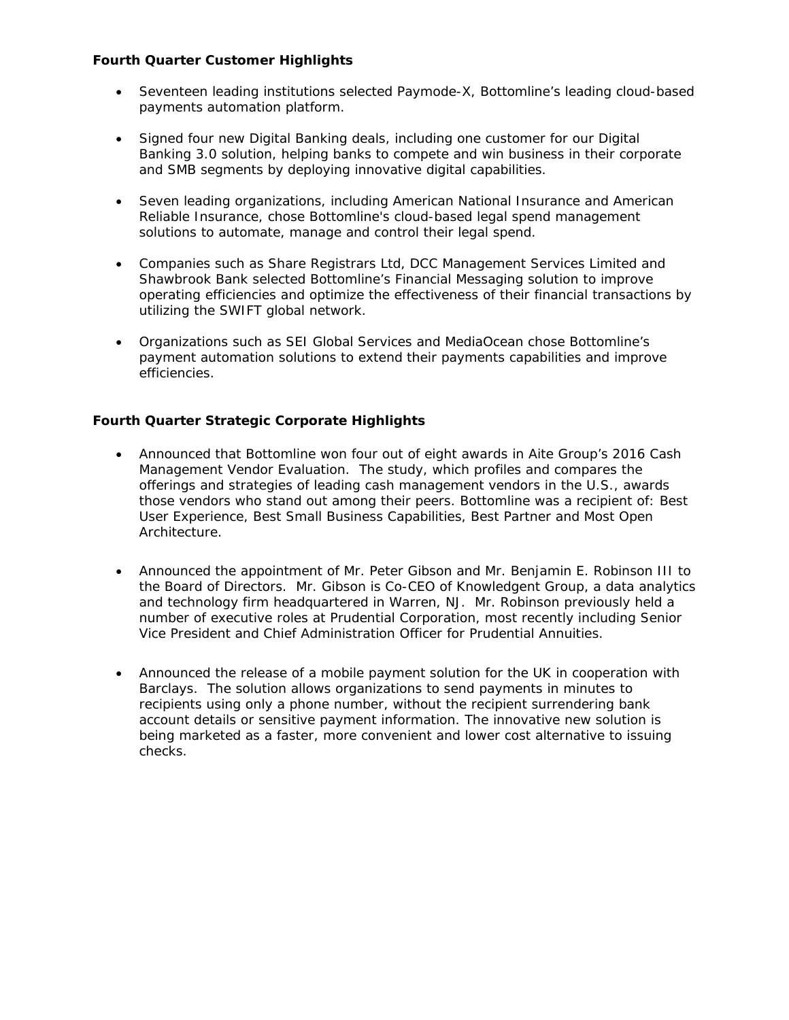## **Fourth Quarter Customer Highlights**

- Seventeen leading institutions selected Paymode-X, Bottomline's leading cloud-based payments automation platform.
- Signed four new Digital Banking deals, including one customer for our Digital Banking 3.0 solution, helping banks to compete and win business in their corporate and SMB segments by deploying innovative digital capabilities.
- Seven leading organizations, including American National Insurance and American Reliable Insurance, chose Bottomline's cloud-based legal spend management solutions to automate, manage and control their legal spend.
- Companies such as Share Registrars Ltd, DCC Management Services Limited and Shawbrook Bank selected Bottomline's Financial Messaging solution to improve operating efficiencies and optimize the effectiveness of their financial transactions by utilizing the SWIFT global network.
- Organizations such as SEI Global Services and MediaOcean chose Bottomline's payment automation solutions to extend their payments capabilities and improve efficiencies.

## **Fourth Quarter Strategic Corporate Highlights**

- Announced that Bottomline won four out of eight awards in Aite Group's 2016 Cash Management Vendor Evaluation. The study, which profiles and compares the offerings and strategies of leading cash management vendors in the U.S., awards those vendors who stand out among their peers. Bottomline was a recipient of: Best User Experience, Best Small Business Capabilities, Best Partner and Most Open Architecture.
- Announced the appointment of Mr. Peter Gibson and Mr. Benjamin E. Robinson III to the Board of Directors. Mr. Gibson is Co-CEO of Knowledgent Group, a data analytics and technology firm headquartered in Warren, NJ. Mr. Robinson previously held a number of executive roles at Prudential Corporation, most recently including Senior Vice President and Chief Administration Officer for Prudential Annuities.
- Announced the release of a mobile payment solution for the UK in cooperation with Barclays. The solution allows organizations to send payments in minutes to recipients using only a phone number, without the recipient surrendering bank account details or sensitive payment information. The innovative new solution is being marketed as a faster, more convenient and lower cost alternative to issuing checks.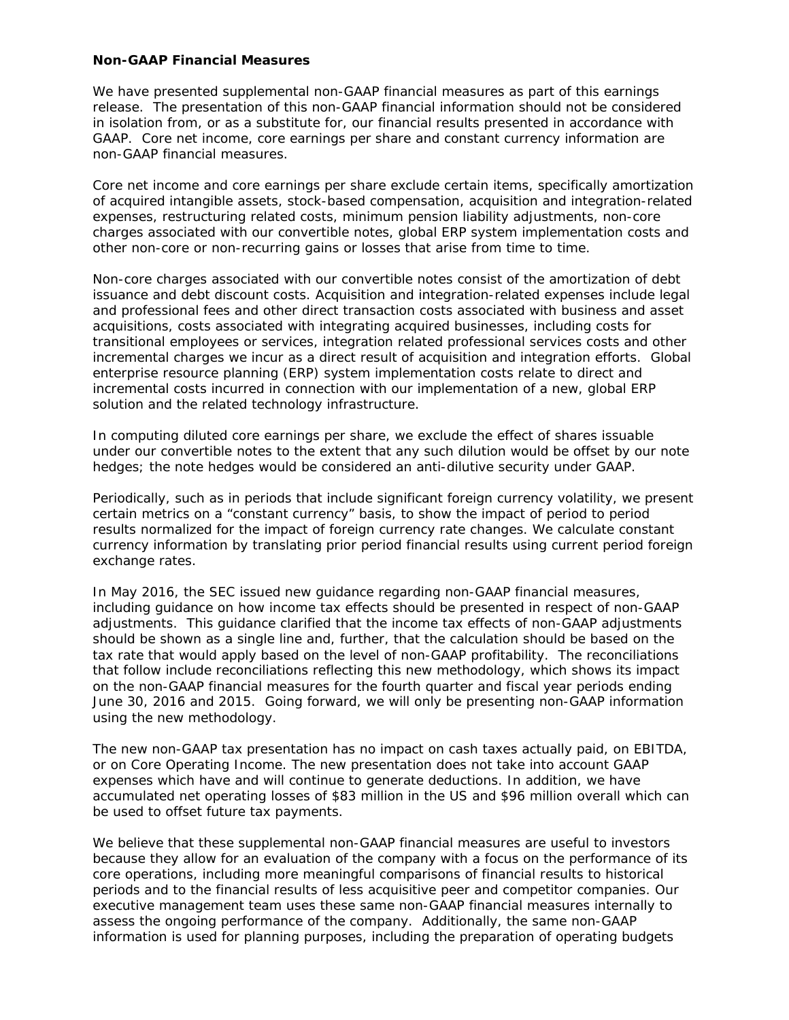#### **Non-GAAP Financial Measures**

We have presented supplemental non-GAAP financial measures as part of this earnings release. The presentation of this non-GAAP financial information should not be considered in isolation from, or as a substitute for, our financial results presented in accordance with GAAP. Core net income, core earnings per share and constant currency information are non-GAAP financial measures.

Core net income and core earnings per share exclude certain items, specifically amortization of acquired intangible assets, stock-based compensation, acquisition and integration-related expenses, restructuring related costs, minimum pension liability adjustments, non-core charges associated with our convertible notes, global ERP system implementation costs and other non-core or non-recurring gains or losses that arise from time to time.

Non-core charges associated with our convertible notes consist of the amortization of debt issuance and debt discount costs. Acquisition and integration-related expenses include legal and professional fees and other direct transaction costs associated with business and asset acquisitions, costs associated with integrating acquired businesses, including costs for transitional employees or services, integration related professional services costs and other incremental charges we incur as a direct result of acquisition and integration efforts. Global enterprise resource planning (ERP) system implementation costs relate to direct and incremental costs incurred in connection with our implementation of a new, global ERP solution and the related technology infrastructure.

In computing diluted core earnings per share, we exclude the effect of shares issuable under our convertible notes to the extent that any such dilution would be offset by our note hedges; the note hedges would be considered an anti-dilutive security under GAAP.

Periodically, such as in periods that include significant foreign currency volatility, we present certain metrics on a "constant currency" basis, to show the impact of period to period results normalized for the impact of foreign currency rate changes. We calculate constant currency information by translating prior period financial results using current period foreign exchange rates.

In May 2016, the SEC issued new guidance regarding non-GAAP financial measures, including guidance on how income tax effects should be presented in respect of non-GAAP adjustments. This guidance clarified that the income tax effects of non-GAAP adjustments should be shown as a single line and, further, that the calculation should be based on the tax rate that would apply based on the level of non-GAAP profitability. The reconciliations that follow include reconciliations reflecting this new methodology, which shows its impact on the non-GAAP financial measures for the fourth quarter and fiscal year periods ending June 30, 2016 and 2015. Going forward, we will only be presenting non-GAAP information using the new methodology.

The new non-GAAP tax presentation has no impact on cash taxes actually paid, on EBITDA, or on Core Operating Income. The new presentation does not take into account GAAP expenses which have and will continue to generate deductions. In addition, we have accumulated net operating losses of \$83 million in the US and \$96 million overall which can be used to offset future tax payments.

We believe that these supplemental non-GAAP financial measures are useful to investors because they allow for an evaluation of the company with a focus on the performance of its core operations, including more meaningful comparisons of financial results to historical periods and to the financial results of less acquisitive peer and competitor companies. Our executive management team uses these same non-GAAP financial measures internally to assess the ongoing performance of the company. Additionally, the same non-GAAP information is used for planning purposes, including the preparation of operating budgets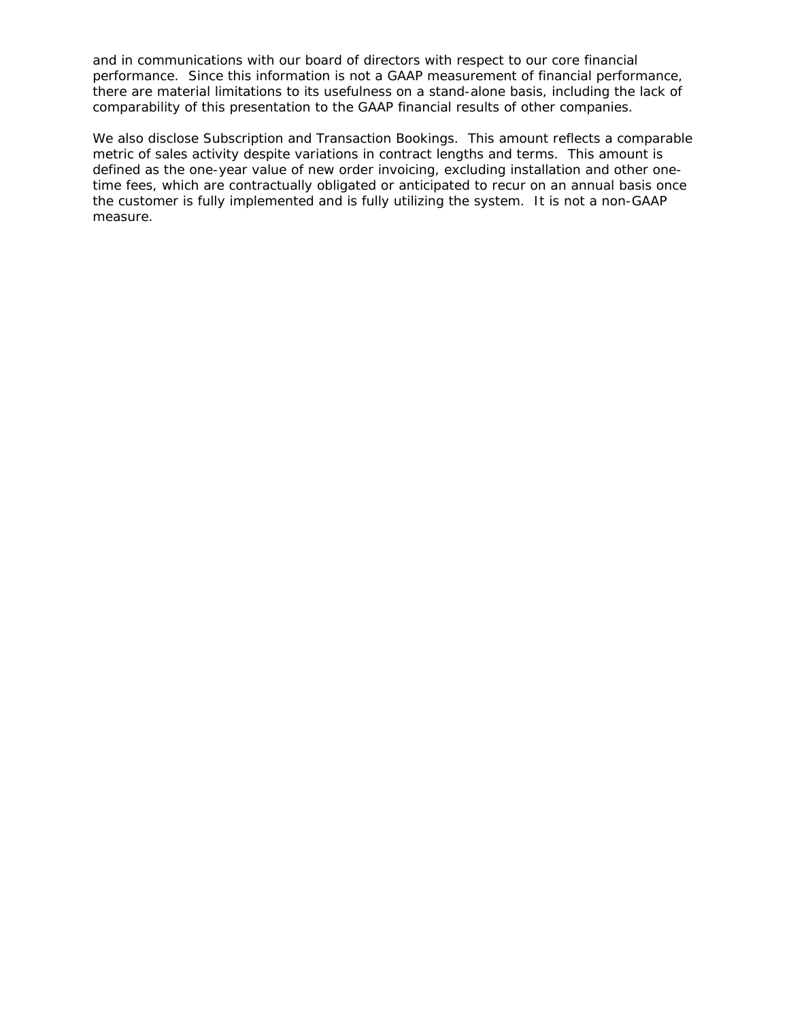and in communications with our board of directors with respect to our core financial performance. Since this information is not a GAAP measurement of financial performance, there are material limitations to its usefulness on a stand-alone basis, including the lack of comparability of this presentation to the GAAP financial results of other companies.

We also disclose Subscription and Transaction Bookings. This amount reflects a comparable metric of sales activity despite variations in contract lengths and terms. This amount is defined as the one-year value of new order invoicing, excluding installation and other onetime fees, which are contractually obligated or anticipated to recur on an annual basis once the customer is fully implemented and is fully utilizing the system. It is not a non-GAAP measure.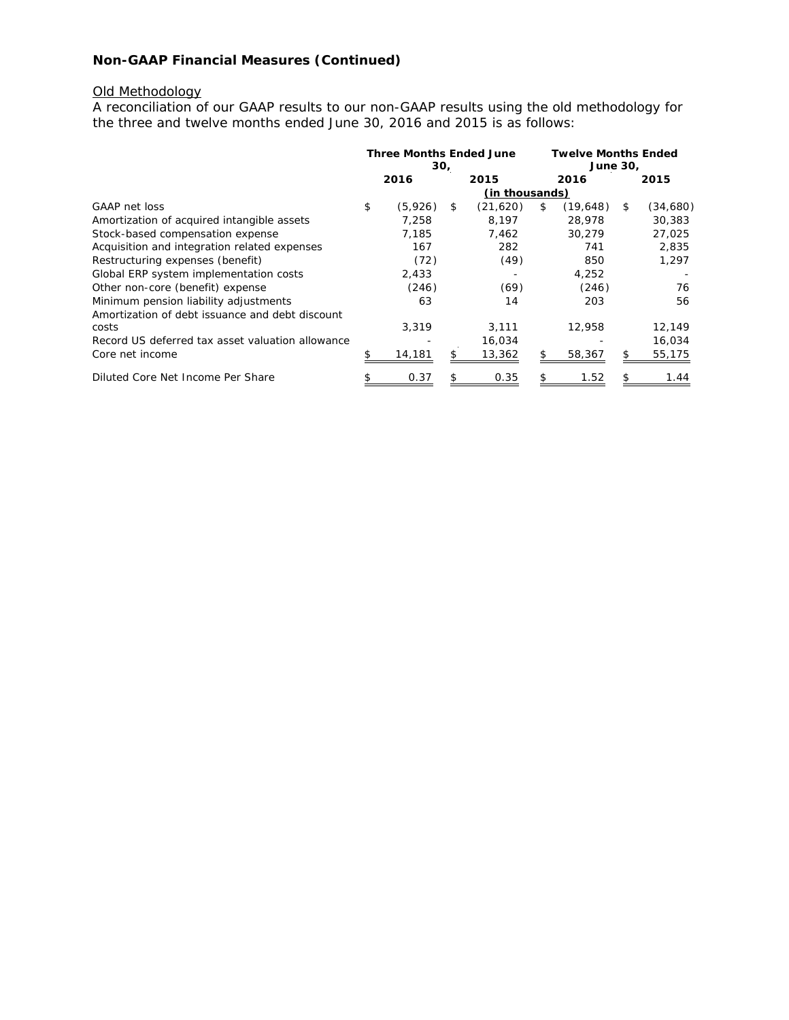# **Non-GAAP Financial Measures (Continued)**

#### Old Methodology

A reconciliation of our GAAP results to our non-GAAP results using the old methodology for the three and twelve months ended June 30, 2016 and 2015 is as follows:

|                                                  | <b>Three Months Ended June</b><br>30, |         |    | <b>Twelve Months Ended</b><br>June 30, |    |          |    |          |
|--------------------------------------------------|---------------------------------------|---------|----|----------------------------------------|----|----------|----|----------|
|                                                  |                                       | 2016    |    | 2015                                   |    | 2016     |    | 2015     |
|                                                  | (in thousands)                        |         |    |                                        |    |          |    |          |
| GAAP net loss                                    | \$                                    | (5,926) | \$ | (21,620)                               | \$ | (19,648) | \$ | (34,680) |
| Amortization of acquired intangible assets       |                                       | 7.258   |    | 8.197                                  |    | 28,978   |    | 30,383   |
| Stock-based compensation expense                 |                                       | 7,185   |    | 7,462                                  |    | 30,279   |    | 27,025   |
| Acquisition and integration related expenses     |                                       | 167     |    | 282                                    |    | 741      |    | 2,835    |
| Restructuring expenses (benefit)                 |                                       | (72)    |    | (49)                                   |    | 850      |    | 1,297    |
| Global ERP system implementation costs           |                                       | 2,433   |    |                                        |    | 4,252    |    |          |
| Other non-core (benefit) expense                 |                                       | (246)   |    | (69)                                   |    | (246)    |    | 76       |
| Minimum pension liability adjustments            |                                       | 63      |    | 14                                     |    | 203      |    | 56       |
| Amortization of debt issuance and debt discount  |                                       |         |    |                                        |    |          |    |          |
| costs                                            |                                       | 3,319   |    | 3,111                                  |    | 12,958   |    | 12,149   |
| Record US deferred tax asset valuation allowance |                                       |         |    | 16,034                                 |    |          |    | 16,034   |
| Core net income                                  |                                       | 14,181  |    | 13,362                                 | \$ | 58,367   |    | 55,175   |
| Diluted Core Net Income Per Share                |                                       | 0.37    |    | 0.35                                   |    | 1.52     |    | 1.44     |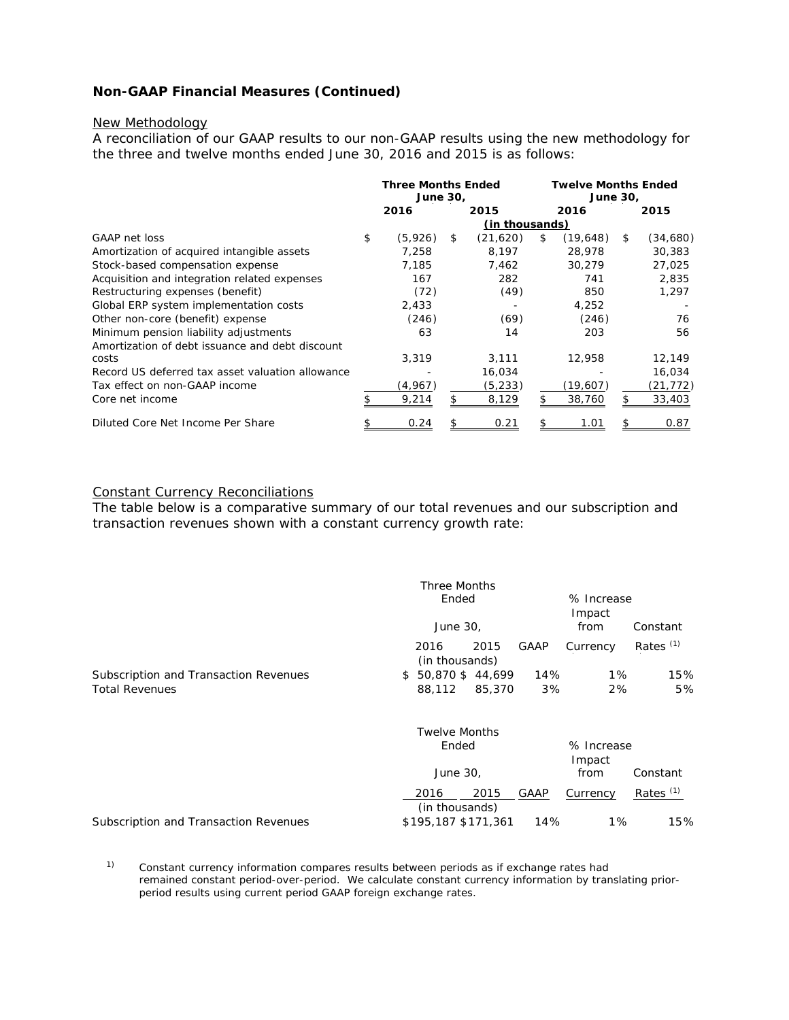## **Non-GAAP Financial Measures (Continued)**

#### New Methodology

A reconciliation of our GAAP results to our non-GAAP results using the new methodology for the three and twelve months ended June 30, 2016 and 2015 is as follows:

|                                                  | <b>Three Months Ended</b><br>June 30, |         |                | <b>Twelve Months Ended</b><br><b>June 30,</b> |    |          |    |           |
|--------------------------------------------------|---------------------------------------|---------|----------------|-----------------------------------------------|----|----------|----|-----------|
|                                                  |                                       | 2016    |                | 2015                                          |    | 2016     |    | 2015      |
|                                                  |                                       |         | (in thousands) |                                               |    |          |    |           |
| GAAP net loss                                    | \$                                    | (5,926) | \$             | (21,620)                                      | \$ | (19,648) | \$ | (34,680)  |
| Amortization of acquired intangible assets       |                                       | 7,258   |                | 8,197                                         |    | 28,978   |    | 30,383    |
| Stock-based compensation expense                 |                                       | 7,185   |                | 7,462                                         |    | 30,279   |    | 27,025    |
| Acquisition and integration related expenses     |                                       | 167     |                | 282                                           |    | 741      |    | 2,835     |
| Restructuring expenses (benefit)                 |                                       | (72)    |                | (49)                                          |    | 850      |    | 1,297     |
| Global ERP system implementation costs           |                                       | 2,433   |                |                                               |    | 4,252    |    |           |
| Other non-core (benefit) expense                 |                                       | (246)   |                | (69)                                          |    | (246)    |    | 76        |
| Minimum pension liability adjustments            |                                       | 63      |                | 14                                            |    | 203      |    | 56        |
| Amortization of debt issuance and debt discount  |                                       |         |                |                                               |    |          |    |           |
| costs                                            |                                       | 3,319   |                | 3,111                                         |    | 12,958   |    | 12,149    |
| Record US deferred tax asset valuation allowance |                                       |         |                | 16,034                                        |    |          |    | 16,034    |
| Tax effect on non-GAAP income                    |                                       | (4,967) |                | (5, 233)                                      |    | (19,607) |    | (21, 772) |
| Core net income                                  |                                       | 9,214   |                | 8,129                                         |    | 38,760   |    | 33,403    |
| Diluted Core Net Income Per Share                |                                       | 0.24    |                | 0.21                                          |    | 1.01     |    | 0.87      |

## Constant Currency Reconciliations

The table below is a comparative summary of our total revenues and our subscription and transaction revenues shown with a constant currency growth rate:

|                                       | Three Months<br>Ended                  | % Increase<br>Impact             |
|---------------------------------------|----------------------------------------|----------------------------------|
|                                       | June 30,                               | Constant<br>from                 |
|                                       | GAAP<br>2015<br>2016<br>(in thousands) | Rates $(1)$<br>Currency          |
| Subscription and Transaction Revenues | $$50,870$ \$44,699                     | 14%<br>1%<br>15%                 |
| <b>Total Revenues</b>                 | 88,112<br>85,370                       | 2%<br>5%<br>3%                   |
|                                       | <b>Twelve Months</b>                   |                                  |
|                                       | Ended                                  | % Increase<br>Impact             |
|                                       | June 30,                               | Constant<br>from                 |
|                                       | 2015<br>GAAP<br>2016<br>(in thousands) | Rates <sup>(1)</sup><br>Currency |
| Subscription and Transaction Revenues | \$195,187 \$171,361                    | 1%<br>14%<br>15%                 |

<sup>1)</sup> Constant currency information compares results between periods as if exchange rates had remained constant period-over-period. We calculate constant currency information by translating prior period results using current period GAAP foreign exchange rates.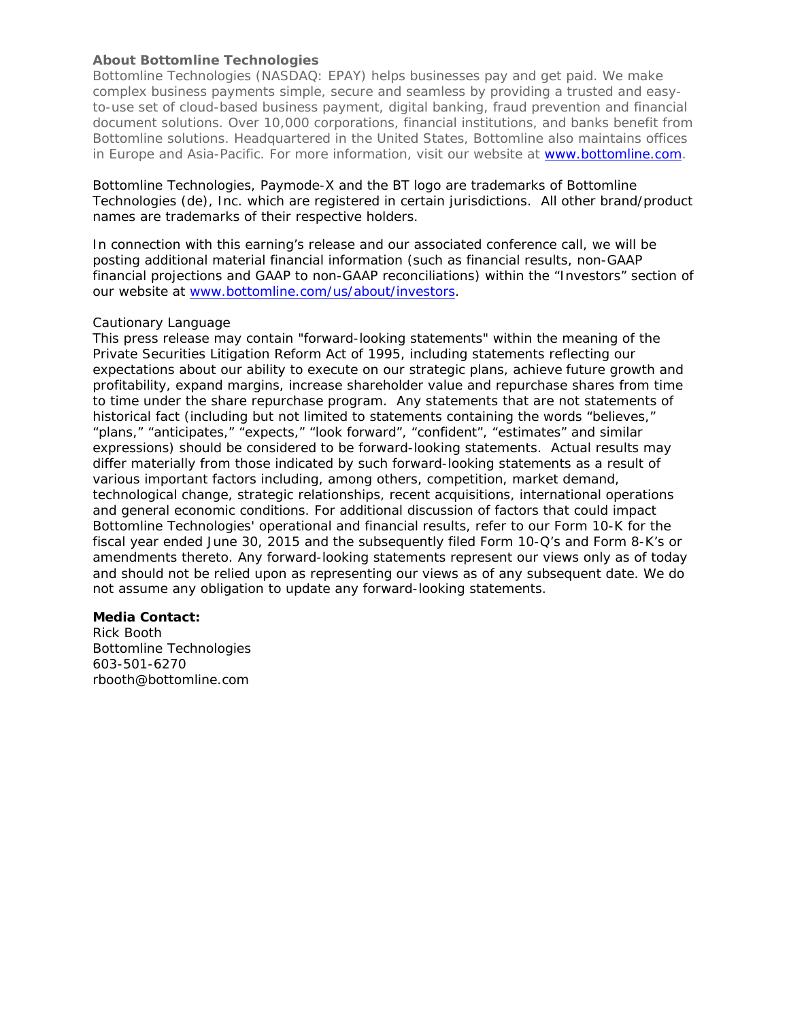## **About Bottomline Technologies**

Bottomline Technologies (NASDAQ: EPAY) helps businesses pay and get paid. We make complex business payments simple, secure and seamless by providing a trusted and easyto-use set of cloud-based business payment, digital banking, fraud prevention and financial document solutions. Over 10,000 corporations, financial institutions, and banks benefit from Bottomline solutions. Headquartered in the United States, Bottomline also maintains offices in Europe and Asia-Pacific. For more information, visit our website at www.bottomline.com.

Bottomline Technologies, Paymode-X and the BT logo are trademarks of Bottomline Technologies (de), Inc. which are registered in certain jurisdictions. All other brand/product names are trademarks of their respective holders.

In connection with this earning's release and our associated conference call, we will be posting additional material financial information (such as financial results, non-GAAP financial projections and GAAP to non-GAAP reconciliations) within the "Investors" section of our website at www.bottomline.com/us/about/investors.

#### *Cautionary Language*

*This press release may contain "forward-looking statements" within the meaning of the Private Securities Litigation Reform Act of 1995, including statements reflecting our expectations about our ability to execute on our strategic plans, achieve future growth and profitability, expand margins, increase shareholder value and repurchase shares from time to time under the share repurchase program. Any statements that are not statements of historical fact (including but not limited to statements containing the words "believes," "plans," "anticipates," "expects," "look forward", "confident", "estimates" and similar expressions) should be considered to be forward-looking statements. Actual results may differ materially from those indicated by such forward-looking statements as a result of various important factors including, among others, competition, market demand, technological change, strategic relationships, recent acquisitions, international operations and general economic conditions. For additional discussion of factors that could impact Bottomline Technologies' operational and financial results, refer to our Form 10-K for the fiscal year ended June 30, 2015 and the subsequently filed Form 10-Q's and Form 8-K's or amendments thereto. Any forward-looking statements represent our views only as of today and should not be relied upon as representing our views as of any subsequent date. We do not assume any obligation to update any forward-looking statements.* 

## **Media Contact:**

Rick Booth Bottomline Technologies 603-501-6270 rbooth@bottomline.com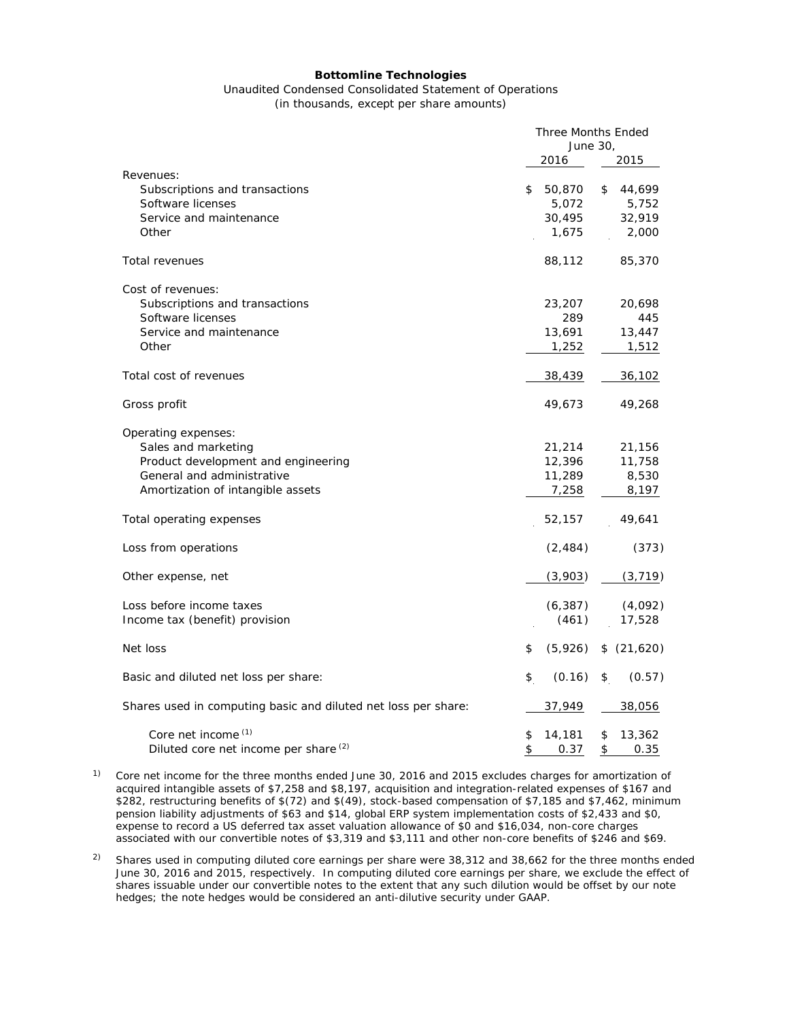#### **Bottomline Technologies**

# Unaudited Condensed Consolidated Statement of Operations

(in thousands, except per share amounts)

|                                                                | Three Months Ended<br>June 30, |          |    |            |
|----------------------------------------------------------------|--------------------------------|----------|----|------------|
|                                                                |                                | 2016     |    | 2015       |
| Revenues:                                                      |                                |          |    |            |
| Subscriptions and transactions                                 | \$                             | 50,870   | \$ | 44,699     |
| Software licenses                                              |                                | 5,072    |    | 5,752      |
| Service and maintenance                                        |                                | 30,495   |    | 32,919     |
| Other                                                          |                                | 1,675    |    | 2,000      |
| <b>Total revenues</b>                                          |                                | 88,112   |    | 85,370     |
| Cost of revenues:                                              |                                |          |    |            |
| Subscriptions and transactions                                 |                                | 23,207   |    | 20,698     |
| Software licenses                                              |                                | 289      |    | 445        |
| Service and maintenance                                        |                                | 13,691   |    | 13,447     |
| Other                                                          |                                | 1,252    |    | 1,512      |
| Total cost of revenues                                         |                                | 38,439   |    | 36,102     |
| Gross profit                                                   |                                | 49,673   |    | 49,268     |
| Operating expenses:                                            |                                |          |    |            |
| Sales and marketing                                            |                                | 21,214   |    | 21,156     |
| Product development and engineering                            |                                | 12,396   |    | 11,758     |
| General and administrative                                     |                                | 11,289   |    | 8,530      |
| Amortization of intangible assets                              |                                | 7,258    |    | 8,197      |
| Total operating expenses                                       |                                | 52,157   |    | 49,641     |
| Loss from operations                                           |                                | (2, 484) |    | (373)      |
| Other expense, net                                             |                                | (3,903)  |    | (3, 719)   |
| Loss before income taxes                                       |                                | (6, 387) |    | (4,092)    |
| Income tax (benefit) provision                                 |                                | (461)    |    | 17,528     |
| Net loss                                                       | \$                             | (5,926)  |    | \$(21,620) |
| Basic and diluted net loss per share:                          | \$                             | (0.16)   | \$ | (0.57)     |
| Shares used in computing basic and diluted net loss per share: |                                | 37,949   |    | 38,056     |
| Core net income (1)                                            | \$                             | 14,181   | \$ | 13,362     |
| Diluted core net income per share (2)                          | \$                             | 0.37     | \$ | 0.35       |

<sup>1)</sup> Core net income for the three months ended June 30, 2016 and 2015 excludes charges for amortization of acquired intangible assets of \$7,258 and \$8,197, acquisition and integration-related expenses of \$167 and \$282, restructuring benefits of \$(72) and \$(49), stock-based compensation of \$7,185 and \$7,462, minimum pension liability adjustments of \$63 and \$14, global ERP system implementation costs of \$2,433 and \$0, expense to record a US deferred tax asset valuation allowance of \$0 and \$16,034, non-core charges associated with our convertible notes of \$3,319 and \$3,111 and other non-core benefits of \$246 and \$69.

<sup>2)</sup> Shares used in computing diluted core earnings per share were  $38,312$  and  $38,662$  for the three months ended June 30, 2016 and 2015, respectively. In computing diluted core earnings per share, we exclude the effect of shares issuable under our convertible notes to the extent that any such dilution would be offset by our note hedges; the note hedges would be considered an anti-dilutive security under GAAP.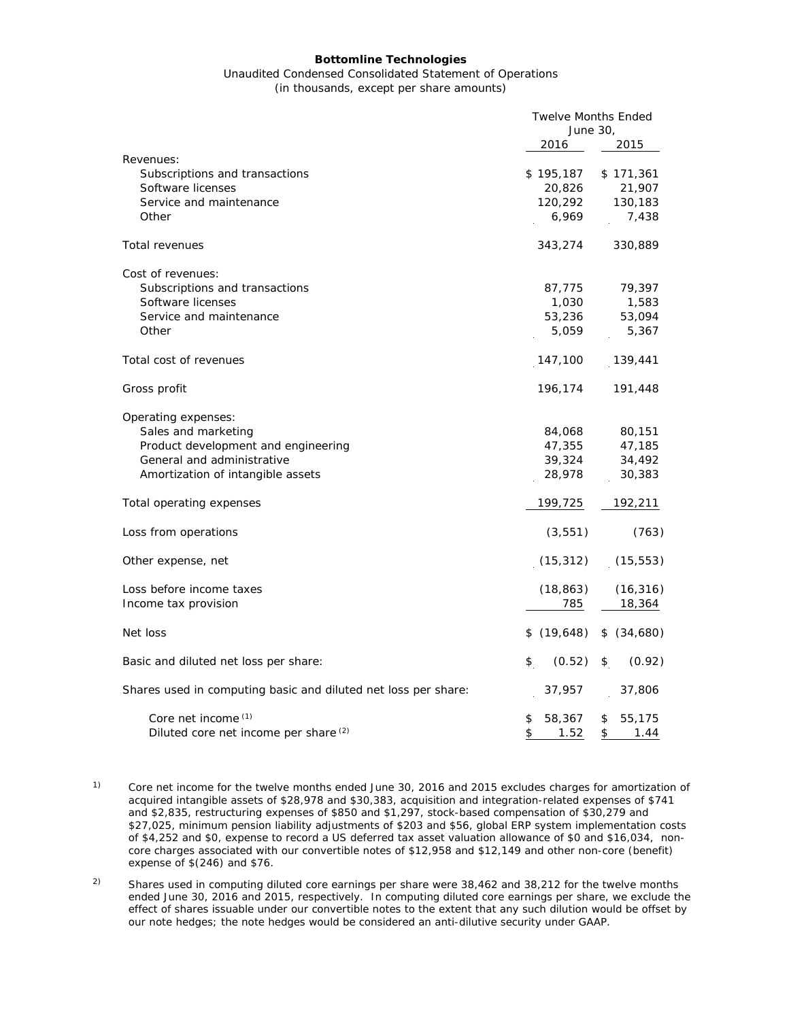#### **Bottomline Technologies**

#### Unaudited Condensed Consolidated Statement of Operations (in thousands, except per share amounts)

|                                                                | <b>Twelve Months Ended</b><br>June 30, |              |  |
|----------------------------------------------------------------|----------------------------------------|--------------|--|
|                                                                | 2016                                   | 2015         |  |
| Revenues:                                                      |                                        |              |  |
| Subscriptions and transactions                                 | \$195,187                              | \$171,361    |  |
| Software licenses                                              | 20,826                                 | 21,907       |  |
| Service and maintenance                                        | 120,292                                | 130,183      |  |
| Other                                                          | 6,969                                  | 7,438        |  |
| Total revenues                                                 | 343,274                                | 330,889      |  |
| Cost of revenues:                                              |                                        |              |  |
| Subscriptions and transactions                                 | 87,775                                 | 79,397       |  |
| Software licenses                                              | 1,030                                  | 1,583        |  |
| Service and maintenance                                        | 53,236                                 | 53,094       |  |
| Other                                                          | 5,059                                  | 5,367        |  |
| Total cost of revenues                                         | 147,100                                | 139,441      |  |
| Gross profit                                                   | 196,174                                | 191,448      |  |
| Operating expenses:                                            |                                        |              |  |
| Sales and marketing                                            | 84,068                                 | 80,151       |  |
| Product development and engineering                            | 47,355                                 | 47,185       |  |
| General and administrative                                     | 39,324                                 | 34,492       |  |
| Amortization of intangible assets                              | 28,978                                 | 30,383       |  |
| Total operating expenses                                       | 199,725                                | 192,211      |  |
| Loss from operations                                           | (3, 551)                               | (763)        |  |
| Other expense, net                                             | (15, 312)                              | (15, 553)    |  |
| Loss before income taxes                                       | (18, 863)                              | (16, 316)    |  |
| Income tax provision                                           | 785                                    | 18,364       |  |
| Net loss                                                       | \$(19,648)                             | \$ (34,680)  |  |
| Basic and diluted net loss per share:                          | \$<br>(0.52)                           | (0.92)<br>\$ |  |
| Shares used in computing basic and diluted net loss per share: | 37,957                                 | 37,806       |  |
| Core net income (1)                                            | \$<br>58,367                           | \$<br>55,175 |  |
| Diluted core net income per share (2)                          | \$<br>1.52                             | \$<br>1.44   |  |

- <sup>1)</sup> Core net income for the twelve months ended June 30, 2016 and 2015 excludes charges for amortization of acquired intangible assets of \$28,978 and \$30,383, acquisition and integration-related expenses of \$741 and \$2,835, restructuring expenses of \$850 and \$1,297, stock-based compensation of \$30,279 and \$27,025, minimum pension liability adjustments of \$203 and \$56, global ERP system implementation costs of \$4,252 and \$0, expense to record a US deferred tax asset valuation allowance of \$0 and \$16,034, noncore charges associated with our convertible notes of \$12,958 and \$12,149 and other non-core (benefit) expense of \$(246) and \$76.
- <sup>2)</sup> Shares used in computing diluted core earnings per share were  $38,462$  and  $38,212$  for the twelve months ended June 30, 2016 and 2015, respectively. In computing diluted core earnings per share, we exclude the effect of shares issuable under our convertible notes to the extent that any such dilution would be offset by our note hedges; the note hedges would be considered an anti-dilutive security under GAAP.